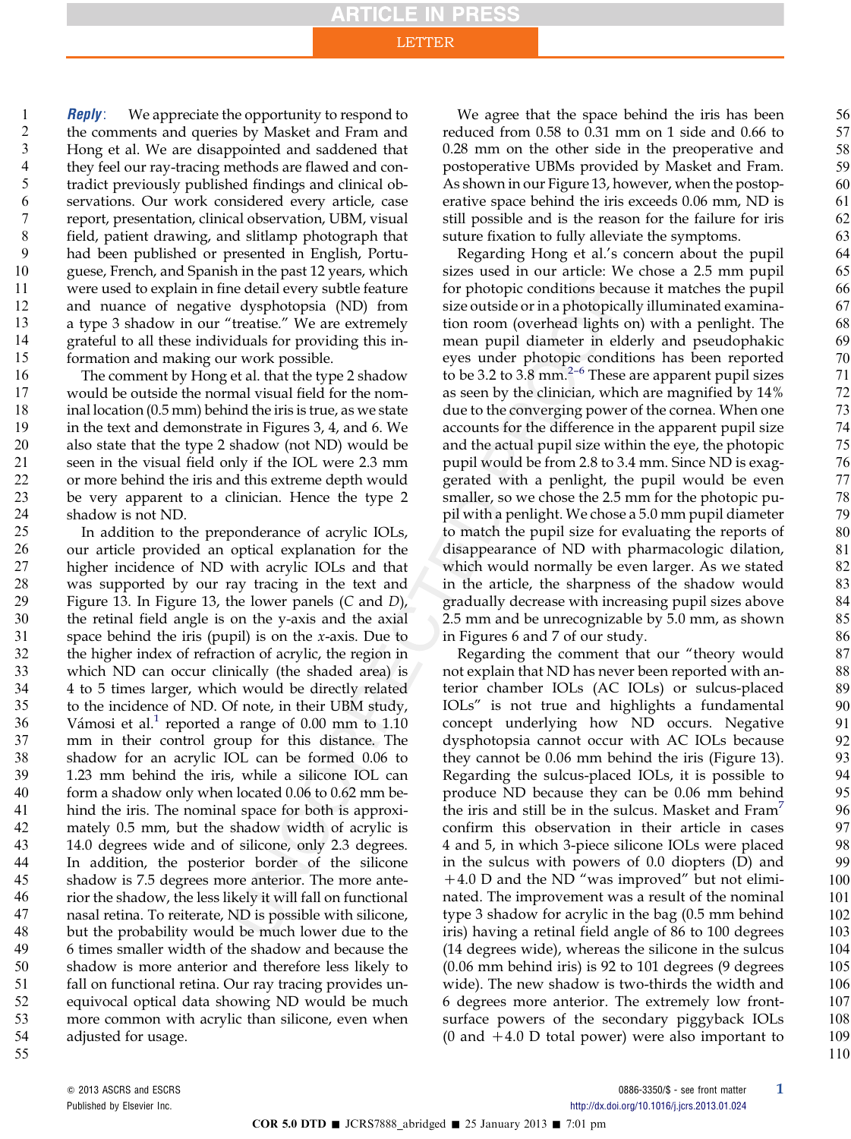**Reply**: We appreciate the opportunity to respond to the comments and queries by Masket and Fram and Hong et al. We are disappointed and saddened that they feel our ray-tracing methods are flawed and contradict previously published findings and clinical observations. Our work considered every article, case report, presentation, clinical observation, UBM, visual field, patient drawing, and slitlamp photograph that had been published or presented in English, Portuguese, French, and Spanish in the past 12 years, which were used to explain in fine detail every subtle feature and nuance of negative dysphotopsia (ND) from a type 3 shadow in our "treatise." We are extremely grateful to all these individuals for providing this information and making our work possible. 1 2 3 4 5 6 7 8 9 10 11 12 13 14 15

The comment by Hong et al. that the type 2 shadow would be outside the normal visual field for the nominal location (0.5 mm) behind the iris is true, as we state in the text and demonstrate in Figures 3, 4, and 6. We also state that the type 2 shadow (not ND) would be seen in the visual field only if the IOL were 2.3 mm or more behind the iris and this extreme depth would be very apparent to a clinician. Hence the type 2 shadow is not ND. 16 17 18 19 20 21 22 23 24

In addition to the preponderance of acrylic IOLs, our article provided an optical explanation for the higher incidence of ND with acrylic IOLs and that was supported by our ray tracing in the text and Figure 13. In Figure 13, the lower panels (C and D), the retinal field angle is on the y-axis and the axial space behind the iris (pupil) is on the  $x$ -axis. Due to the higher index of refraction of acrylic, the region in which ND can occur clinically (the shaded area) is 4 to 5 times larger, which would be directly related to the incidence of ND. Of note, in their UBM study, Vámosi et al.<sup>[1](#page-2-0)</sup> reported a range of 0.00 mm to  $1.10$ mm in their control group for this distance. The shadow for an acrylic IOL can be formed 0.06 to 1.23 mm behind the iris, while a silicone IOL can form a shadow only when located 0.06 to 0.62 mm behind the iris. The nominal space for both is approximately 0.5 mm, but the shadow width of acrylic is 14.0 degrees wide and of silicone, only 2.3 degrees. In addition, the posterior border of the silicone shadow is 7.5 degrees more anterior. The more anterior the shadow, the less likely it will fall on functional nasal retina. To reiterate, ND is possible with silicone, but the probability would be much lower due to the 6 times smaller width of the shadow and because the shadow is more anterior and therefore less likely to fall on functional retina. Our ray tracing provides unequivocal optical data showing ND would be much more common with acrylic than silicone, even when adjusted for usage. 25 26 27 28 29 30 31 32 33 34 35 36 37 38 39 40 41 42 43 44 45 46 47 48 49 50 51 52 53 54 55

We agree that the space behind the iris has been reduced from 0.58 to 0.31 mm on 1 side and 0.66 to 0.28 mm on the other side in the preoperative and postoperative UBMs provided by Masket and Fram. As shown in our Figure 13, however, when the postoperative space behind the iris exceeds 0.06 mm, ND is still possible and is the reason for the failure for iris suture fixation to fully alleviate the symptoms.

Regarding Hong et al.'s concern about the pupil sizes used in our article: We chose a 2.5 mm pupil for photopic conditions because it matches the pupil size outside or in a photopically illuminated examination room (overhead lights on) with a penlight. The mean pupil diameter in elderly and pseudophakic eyes under photo[pic](#page-2-0) conditions has been reported to be 3.2 to 3.8 mm.<sup>2-6</sup> These are apparent pupil sizes as seen by the clinician, which are magnified by 14% due to the converging power of the cornea. When one accounts for the difference in the apparent pupil size and the actual pupil size within the eye, the photopic pupil would be from 2.8 to 3.4 mm. Since ND is exaggerated with a penlight, the pupil would be even smaller, so we chose the 2.5 mm for the photopic pupil with a penlight. We chose a 5.0 mm pupil diameter to match the pupil size for evaluating the reports of disappearance of ND with pharmacologic dilation, which would normally be even larger. As we stated in the article, the sharpness of the shadow would gradually decrease with increasing pupil sizes above 2.5 mm and be unrecognizable by 5.0 mm, as shown in Figures 6 and 7 of our study.

Regarding the comment that our "theory would not explain that ND has never been reported with anterior chamber IOLs (AC IOLs) or sulcus-placed IOLs" is not true and highlights a fundamental concept underlying how ND occurs. Negative dysphotopsia cannot occur with AC IOLs because they cannot be 0.06 mm behind the iris (Figure 13). Regarding the sulcus-placed IOLs, it is possible to produce ND because they can be 0.06 mm behind the iris and still be in the sulcus. Masket and  $Fram^7$  $Fram^7$ confirm this observation in their article in cases 4 and 5, in which 3-piece silicone IOLs were placed in the sulcus with powers of 0.0 diopters (D) and  $+4.0$  D and the ND "was improved" but not eliminated. The improvement was a result of the nominal type 3 shadow for acrylic in the bag (0.5 mm behind iris) having a retinal field angle of 86 to 100 degrees (14 degrees wide), whereas the silicone in the sulcus (0.06 mm behind iris) is 92 to 101 degrees (9 degrees wide). The new shadow is two-thirds the width and 6 degrees more anterior. The extremely low frontsurface powers of the secondary piggyback IOLs (0 and  $+4.0$  D total power) were also important to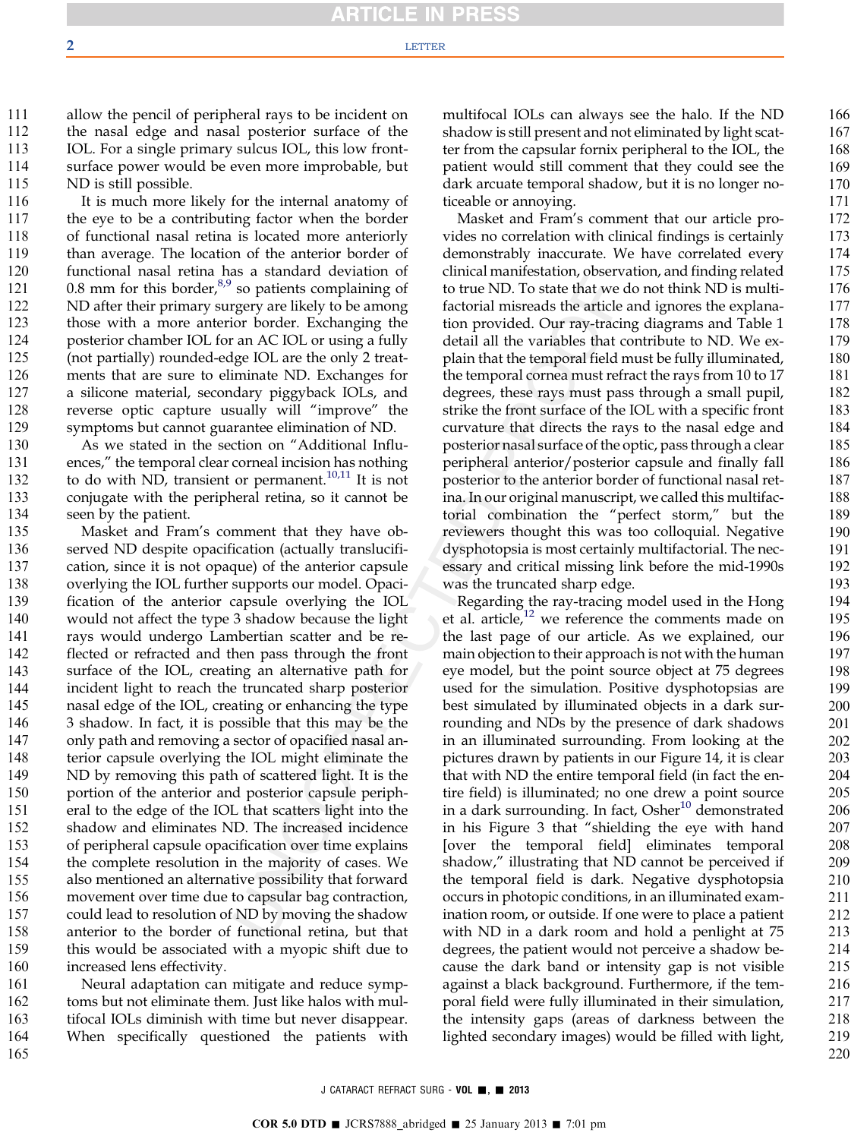allow the pencil of peripheral rays to be incident on the nasal edge and nasal posterior surface of the IOL. For a single primary sulcus IOL, this low frontsurface power would be even more improbable, but ND is still possible. 111 112 113 114 115

It is much more likely for the internal anatomy of the eye to be a contributing factor when the border of functional nasal retina is located more anteriorly than average. The location of the anterior border of functional nasal retina has a standard deviation of 0.8 mm for this border, $8,9$  so patients complaining of ND after their primary surgery are likely to be among those with a more anterior border. Exchanging the posterior chamber IOL for an AC IOL or using a fully (not partially) rounded-edge IOL are the only 2 treatments that are sure to eliminate ND. Exchanges for a silicone material, secondary piggyback IOLs, and reverse optic capture usually will "improve" the symptoms but cannot guarantee elimination of ND. 116 117 118 119 120 121 122 123 124 125 126 127 128 129

As we stated in the section on "Additional Influences," the temporal clear corneal incision has nothing to do with ND, transient or permanent.<sup>[10,11](#page-2-0)</sup> It is not conjugate with the peripheral retina, so it cannot be seen by the patient. 130 131 132 133 134

Masket and Fram's comment that they have observed ND despite opacification (actually translucification, since it is not opaque) of the anterior capsule overlying the IOL further supports our model. Opacification of the anterior capsule overlying the IOL would not affect the type 3 shadow because the light rays would undergo Lambertian scatter and be reflected or refracted and then pass through the front surface of the IOL, creating an alternative path for incident light to reach the truncated sharp posterior nasal edge of the IOL, creating or enhancing the type 3 shadow. In fact, it is possible that this may be the only path and removing a sector of opacified nasal anterior capsule overlying the IOL might eliminate the ND by removing this path of scattered light. It is the portion of the anterior and posterior capsule peripheral to the edge of the IOL that scatters light into the shadow and eliminates ND. The increased incidence of peripheral capsule opacification over time explains the complete resolution in the majority of cases. We also mentioned an alternative possibility that forward movement over time due to capsular bag contraction, could lead to resolution of ND by moving the shadow anterior to the border of functional retina, but that this would be associated with a myopic shift due to increased lens effectivity. 135 136 137 138 139 140 141 142 143 144 145 146 147 148 149 150 151 152 153 154 155 156 157 158 159 160

Neural adaptation can mitigate and reduce symptoms but not eliminate them. Just like halos with multifocal IOLs diminish with time but never disappear. When specifically questioned the patients with 161 162 163 164 165

multifocal IOLs can always see the halo. If the ND shadow is still present and not eliminated by light scatter from the capsular fornix peripheral to the IOL, the patient would still comment that they could see the dark arcuate temporal shadow, but it is no longer noticeable or annoying.

Masket and Fram's comment that our article provides no correlation with clinical findings is certainly demonstrably inaccurate. We have correlated every clinical manifestation, observation, and finding related to true ND. To state that we do not think ND is multifactorial misreads the article and ignores the explanation provided. Our ray-tracing diagrams and Table 1 detail all the variables that contribute to ND. We explain that the temporal field must be fully illuminated, the temporal cornea must refract the rays from 10 to 17 degrees, these rays must pass through a small pupil, strike the front surface of the IOL with a specific front curvature that directs the rays to the nasal edge and posterior nasal surface of the optic, pass through a clear peripheral anterior/posterior capsule and finally fall posterior to the anterior border of functional nasal retina. In our original manuscript, we called this multifactorial combination the "perfect storm," but the reviewers thought this was too colloquial. Negative dysphotopsia is most certainly multifactorial. The necessary and critical missing link before the mid-1990s was the truncated sharp edge.

Regarding the ray-tracing model used in the Hong et al. article, $12$  we reference the comments made on the last page of our article. As we explained, our main objection to their approach is not with the human eye model, but the point source object at 75 degrees used for the simulation. Positive dysphotopsias are best simulated by illuminated objects in a dark surrounding and NDs by the presence of dark shadows in an illuminated surrounding. From looking at the pictures drawn by patients in our Figure 14, it is clear that with ND the entire temporal field (in fact the entire field) is illuminated; no one drew a point source in a dark surrounding. In fact,  $Osher<sup>10</sup>$  $Osher<sup>10</sup>$  $Osher<sup>10</sup>$  demonstrated in his Figure 3 that "shielding the eye with hand [over the temporal field] eliminates temporal shadow," illustrating that ND cannot be perceived if the temporal field is dark. Negative dysphotopsia occurs in photopic conditions, in an illuminated examination room, or outside. If one were to place a patient with ND in a dark room and hold a penlight at 75 degrees, the patient would not perceive a shadow because the dark band or intensity gap is not visible against a black background. Furthermore, if the temporal field were fully illuminated in their simulation, the intensity gaps (areas of darkness between the lighted secondary images) would be filled with light,

166 167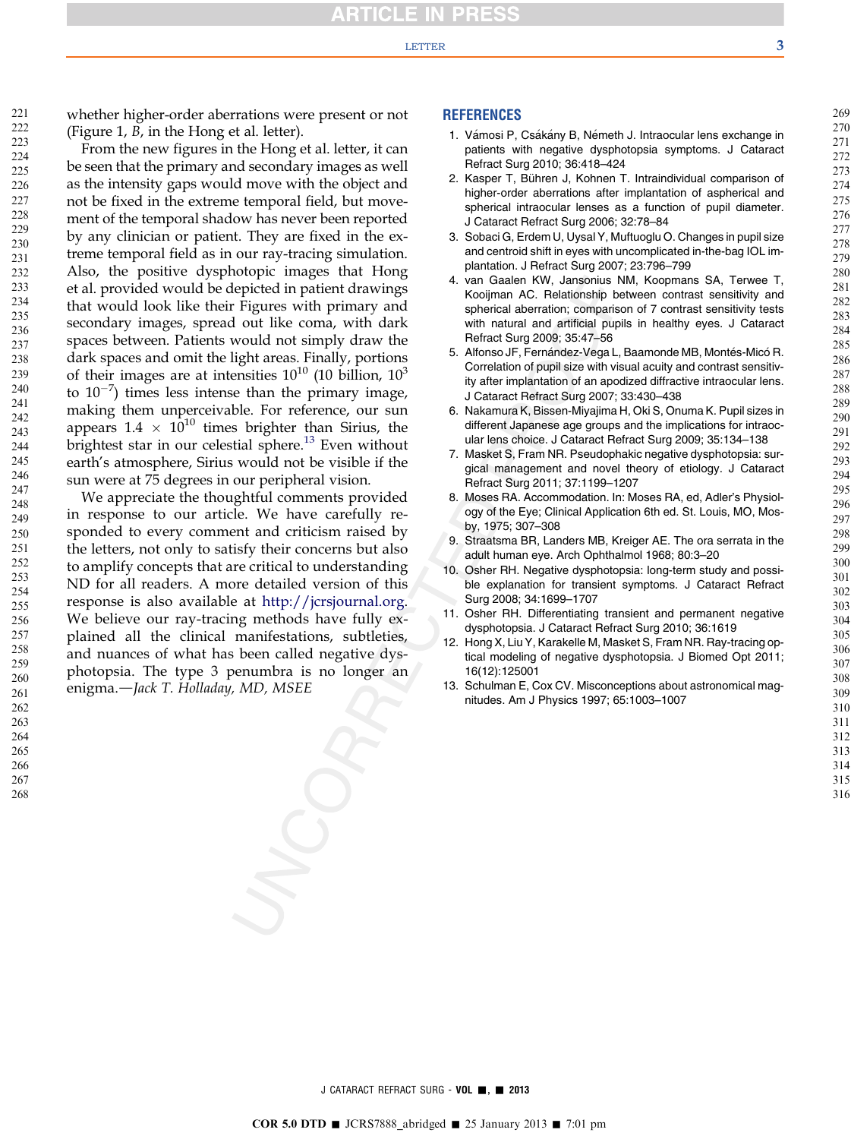#### LETTER  $\overline{\phantom{a}}$  3

<span id="page-2-0"></span>221

whether higher-order aberrations were present or not (Figure  $1, B$ , in the Hong et al. letter).

From the new figures in the Hong et al. letter, it can be seen that the primary and secondary images as well as the intensity gaps would move with the object and not be fixed in the extreme temporal field, but movement of the temporal shadow has never been reported by any clinician or patient. They are fixed in the extreme temporal field as in our ray-tracing simulation. Also, the positive dysphotopic images that Hong et al. provided would be depicted in patient drawings that would look like their Figures with primary and secondary images, spread out like coma, with dark spaces between. Patients would not simply draw the dark spaces and omit the light areas. Finally, portions of their images are at intensities  $10^{10}$  (10 billion,  $10^3$ to  $10^{-7}$ ) times less intense than the primary image, making them unperceivable. For reference, our sun appears  $1.4 \times 10^{10}$  times brighter than Sirius, the brightest star in our celestial sphere.<sup>13</sup> Even without earth's atmosphere, Sirius would not be visible if the sun were at 75 degrees in our peripheral vision.

We appreciate the thoughtful comments provided in response to our article. We have carefully responded to every comment and criticism raised by the letters, not only to satisfy their concerns but also to amplify concepts that are critical to understanding ND for all readers. A more detailed version of this response is also available at <http://jcrsjournal.org>. We believe our ray-tracing methods have fully explained all the clinical manifestations, subtleties, and nuances of what has been called negative dysphotopsia. The type 3 penumbra is no longer an enigma.-Jack T. Holladay, MD, MSEE

### **REFERENCES**

- 1. Vámosi P, Csákány B, Németh J. Intraocular lens exchange in patients with negative dysphotopsia symptoms. J Cataract Refract Surg 2010; 36:418–424
- 2. Kasper T, Bühren J, Kohnen T. Intraindividual comparison of higher-order aberrations after implantation of aspherical and spherical intraocular lenses as a function of pupil diameter. J Cataract Refract Surg 2006; 32:78–84
- 3. Sobaci G, Erdem U, Uysal Y, Muftuoglu O. Changes in pupil size and centroid shift in eyes with uncomplicated in-the-bag IOL implantation. J Refract Surg 2007; 23:796–799
- 4. van Gaalen KW, Jansonius NM, Koopmans SA, Terwee T, Kooijman AC. Relationship between contrast sensitivity and spherical aberration; comparison of 7 contrast sensitivity tests with natural and artificial pupils in healthy eyes. J Cataract Refract Surg 2009; 35:47–56
- 5. Alfonso JF, Fernández-Vega L, Baamonde MB, Montés-Micó R. Correlation of pupil size with visual acuity and contrast sensitivity after implantation of an apodized diffractive intraocular lens. J Cataract Refract Surg 2007; 33:430–438
- 6. Nakamura K, Bissen-Miyajima H, Oki S, Onuma K. Pupil sizes in different Japanese age groups and the implications for intraocular lens choice. J Cataract Refract Surg 2009; 35:134–138
- 7. Masket S, Fram NR. Pseudophakic negative dysphotopsia: surgical management and novel theory of etiology. J Cataract Refract Surg 2011; 37:1199–1207
- 8. Moses RA. Accommodation. In: Moses RA, ed, Adler's Physiology of the Eye; Clinical Application 6th ed. St. Louis, MO, Mosby, 1975; 307–308
- 9. Straatsma BR, Landers MB, Kreiger AE. The ora serrata in the adult human eye. Arch Ophthalmol 1968; 80:3–20
- 10. Osher RH. Negative dysphotopsia: long-term study and possible explanation for transient symptoms. J Cataract Refract Surg 2008; 34:1699–1707
- 11. Osher RH. Differentiating transient and permanent negative dysphotopsia. J Cataract Refract Surg 2010; 36:1619
- 12. Hong X, Liu Y, Karakelle M, Masket S, Fram NR. Ray-tracing optical modeling of negative dysphotopsia. J Biomed Opt 2011; 16(12):125001
- 13. Schulman E, Cox CV. Misconceptions about astronomical magnitudes. Am J Physics 1997; 65:1003–1007

J CATARACT REFRACT SURG - VOL . 2013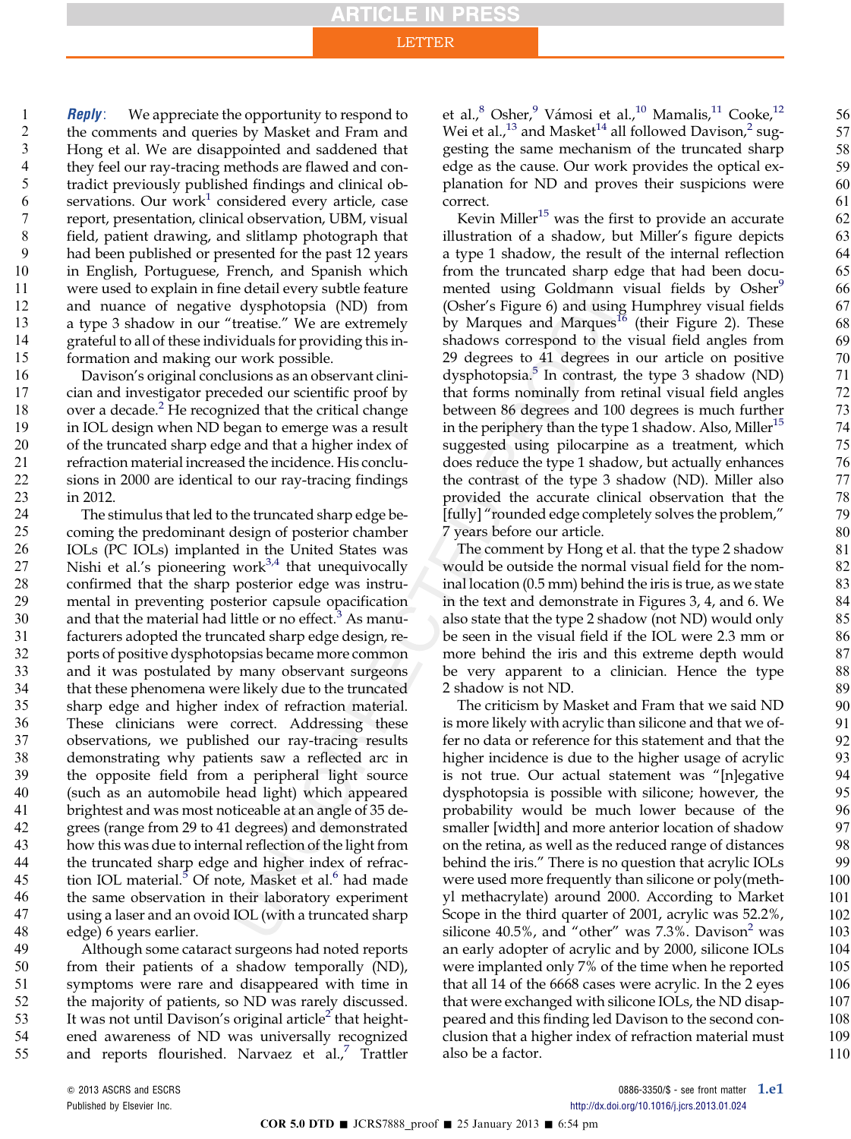**Reply**: We appreciate the opportunity to respond to the comments and queries by Masket and Fram and Hong et al. We are disappointed and saddened that they feel our ray-tracing methods are flawed and contradict previously published findings and clinical ob-servations. Our work<sup>[1](#page-6-0)</sup> considered every article, case report, presentation, clinical observation, UBM, visual field, patient drawing, and slitlamp photograph that had been published or presented for the past 12 years in English, Portuguese, French, and Spanish which were used to explain in fine detail every subtle feature and nuance of negative dysphotopsia (ND) from a type 3 shadow in our "treatise." We are extremely grateful to all of these individuals for providing this information and making our work possible. 1 2 3 4 5 6 7 8 9 10 11 12 13 14 15

Davison's original conclusions as an observant clinician and investigator preceded our scientific proof by over a decade. $2$  He recognized that the critical change in IOL design when ND began to emerge was a result of the truncated sharp edge and that a higher index of refraction material increased the incidence. His conclusions in 2000 are identical to our ray-tracing findings in 2012. 16 17 18 19 20 21 22 23

The stimulus that led to the truncated sharp edge becoming the predominant design of posterior chamber IOLs (PC IOLs) implanted in the United States was Nishi et al.'s pioneering work $3,4$  that unequivocally confirmed that the sharp posterior edge was instrumental in preventing posterior capsule opacification and that the material had little or no effect.<sup>[3](#page-6-0)</sup> As manufacturers adopted the truncated sharp edge design, reports of positive dysphotopsias became more common and it was postulated by many observant surgeons that these phenomena were likely due to the truncated sharp edge and higher index of refraction material. These clinicians were correct. Addressing these observations, we published our ray-tracing results demonstrating why patients saw a reflected arc in the opposite field from a peripheral light source (such as an automobile head light) which appeared brightest and was most noticeable at an angle of 35 degrees (range from 29 to 41 degrees) and demonstrated how this was due to internal reflection of the light from the truncated sharp edge and higher index of refrac-tion IOL material.<sup>[5](#page-6-0)</sup> Of note, Masket et al.<sup>[6](#page-6-0)</sup> had made the same observation in their laboratory experiment using a laser and an ovoid IOL (with a truncated sharp edge) 6 years earlier. 24 25 26 27 28 29 30 31 32 33 34 35 36 37 38 39 40 41 42 43 44 45 46 47 48

Although some cataract surgeons had noted reports from their patients of a shadow temporally (ND), symptoms were rare and disappeared with time in the majority of patients, so ND was rarely discussed. It was not until Davison's original article $2$  that heightened awareness of ND was universally recognized and reports flourished. Narvaez et al., $^7$  $^7$  Trattler 49 50 51 52 53 54 55

et al.,<sup>[8](#page-6-0)</sup> Osher,<sup>[9](#page-6-0)</sup> Vámosi et al.,<sup>[10](#page-6-0)</sup> Mamalis,<sup>[11](#page-6-0)</sup> Cooke,<sup>[12](#page-6-0)</sup> Wei et al.,<sup>[13](#page-6-0)</sup> and Masket<sup>[14](#page-6-0)</sup> all followed Davison,<sup>[2](#page-6-0)</sup> suggesting the same mechanism of the truncated sharp edge as the cause. Our work provides the optical explanation for ND and proves their suspicions were correct.

Kevin Miller<sup>[15](#page-6-0)</sup> was the first to provide an accurate illustration of a shadow, but Miller's figure depicts a type 1 shadow, the result of the internal reflection from the truncated sharp edge that had been docu-mented using Goldmann visual fields by Osher<sup>[9](#page-6-0)</sup> (Osher's Figure 6) and using Humphrey visual fields by Marques and Marques<sup>[16](#page-6-0)</sup> (their Figure 2). These shadows correspond to the visual field angles from 29 degrees to 41 degrees in our article on positive dysphotopsia. $\overline{5}$  $\overline{5}$  $\overline{5}$  In contrast, the type 3 shadow (ND) that forms nominally from retinal visual field angles between 86 degrees and 100 degrees is much further in the periphery than the type 1 shadow. Also, Miller<sup>[15](#page-6-0)</sup> suggested using pilocarpine as a treatment, which does reduce the type 1 shadow, but actually enhances the contrast of the type 3 shadow (ND). Miller also provided the accurate clinical observation that the [fully] "rounded edge completely solves the problem," 7 years before our article.

The comment by Hong et al. that the type 2 shadow would be outside the normal visual field for the nominal location (0.5 mm) behind the iris is true, as we state in the text and demonstrate in Figures 3, 4, and 6. We also state that the type 2 shadow (not ND) would only be seen in the visual field if the IOL were 2.3 mm or more behind the iris and this extreme depth would be very apparent to a clinician. Hence the type 2 shadow is not ND.

The criticism by Masket and Fram that we said ND is more likely with acrylic than silicone and that we offer no data or reference for this statement and that the higher incidence is due to the higher usage of acrylic is not true. Our actual statement was "[n]egative dysphotopsia is possible with silicone; however, the probability would be much lower because of the smaller [width] and more anterior location of shadow on the retina, as well as the reduced range of distances behind the iris." There is no question that acrylic IOLs were used more frequently than silicone or poly(methyl methacrylate) around 2000. According to Market Scope in the third quarter of 2001, acrylic was 52.2%, silicone  $40.5\%$ , and "other" was 7.3%. Davison<sup>[2](#page-6-0)</sup> was an early adopter of acrylic and by 2000, silicone IOLs were implanted only 7% of the time when he reported that all 14 of the 6668 cases were acrylic. In the 2 eyes that were exchanged with silicone IOLs, the ND disappeared and this finding led Davison to the second conclusion that a higher index of refraction material must also be a factor.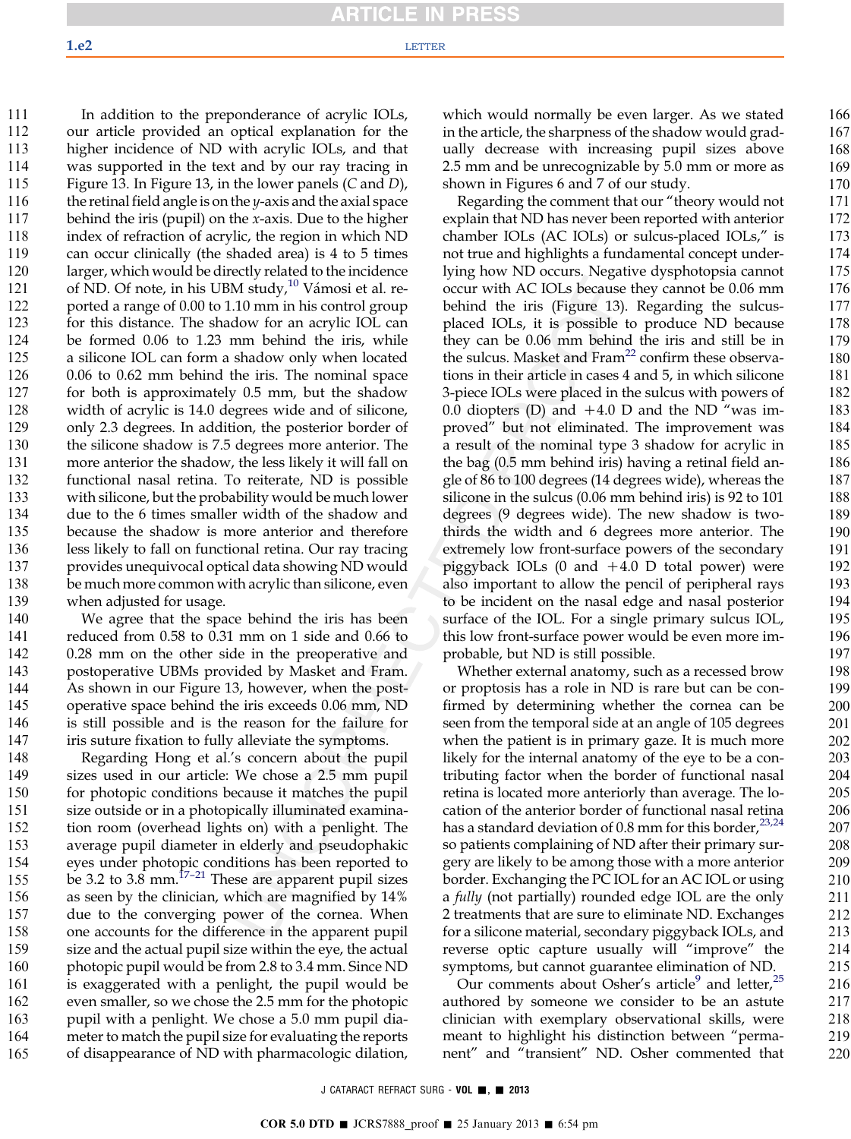In addition to the preponderance of acrylic IOLs, our article provided an optical explanation for the higher incidence of ND with acrylic IOLs, and that was supported in the text and by our ray tracing in Figure 13. In Figure 13, in the lower panels (C and D), the retinal field angle is on the y-axis and the axial space behind the iris (pupil) on the  $x$ -axis. Due to the higher index of refraction of acrylic, the region in which ND can occur clinically (the shaded area) is 4 to 5 times larger, which would be directly related to the incidence of ND. Of note, in his UBM study, $10$  Vámosi et al. reported a range of 0.00 to 1.10 mm in his control group for this distance. The shadow for an acrylic IOL can be formed 0.06 to 1.23 mm behind the iris, while a silicone IOL can form a shadow only when located 0.06 to 0.62 mm behind the iris. The nominal space for both is approximately 0.5 mm, but the shadow width of acrylic is 14.0 degrees wide and of silicone, only 2.3 degrees. In addition, the posterior border of the silicone shadow is 7.5 degrees more anterior. The more anterior the shadow, the less likely it will fall on functional nasal retina. To reiterate, ND is possible with silicone, but the probability would be much lower due to the 6 times smaller width of the shadow and because the shadow is more anterior and therefore less likely to fall on functional retina. Our ray tracing provides unequivocal optical data showing ND would be much more common with acrylic than silicone, even 111 112 113 114 115 116 117 118 119 120 121 122 123 124 125 126 127 128 129 130 131 132 133 134 135 136 137 138

when adjusted for usage. We agree that the space behind the iris has been reduced from 0.58 to 0.31 mm on 1 side and 0.66 to 0.28 mm on the other side in the preoperative and postoperative UBMs provided by Masket and Fram. As shown in our Figure 13, however, when the postoperative space behind the iris exceeds 0.06 mm, ND is still possible and is the reason for the failure for iris suture fixation to fully alleviate the symptoms. 139 140 141 142 143 144 145 146 147

Regarding Hong et al.'s concern about the pupil sizes used in our article: We chose a 2.5 mm pupil for photopic conditions because it matches the pupil size outside or in a photopically illuminated examination room (overhead lights on) with a penlight. The average pupil diameter in elderly and pseudophakic eyes under phot[opic c](#page-6-0)onditions has been reported to be 3.2 to 3.8 mm.<sup>17-21</sup> These are apparent pupil sizes as seen by the clinician, which are magnified by 14% due to the converging power of the cornea. When one accounts for the difference in the apparent pupil size and the actual pupil size within the eye, the actual photopic pupil would be from 2.8 to 3.4 mm. Since ND is exaggerated with a penlight, the pupil would be even smaller, so we chose the 2.5 mm for the photopic pupil with a penlight. We chose a 5.0 mm pupil diameter to match the pupil size for evaluating the reports of disappearance of ND with pharmacologic dilation, 148 149 150 151 152 153 154 155 156 157 158 159 160 161 162 163 164 165

which would normally be even larger. As we stated in the article, the sharpness of the shadow would gradually decrease with increasing pupil sizes above 2.5 mm and be unrecognizable by 5.0 mm or more as shown in Figures 6 and 7 of our study.

Regarding the comment that our "theory would not explain that ND has never been reported with anterior chamber IOLs (AC IOLs) or sulcus-placed IOLs," is not true and highlights a fundamental concept underlying how ND occurs. Negative dysphotopsia cannot occur with AC IOLs because they cannot be 0.06 mm behind the iris (Figure 13). Regarding the sulcusplaced IOLs, it is possible to produce ND because they can be 0.06 mm behind the iris and still be in the sulcus. Masket and  $Frame<sup>22</sup>$  $Frame<sup>22</sup>$  $Frame<sup>22</sup>$  confirm these observations in their article in cases 4 and 5, in which silicone 3-piece IOLs were placed in the sulcus with powers of 0.0 diopters (D) and  $+4.0$  D and the ND "was improved" but not eliminated. The improvement was a result of the nominal type 3 shadow for acrylic in the bag (0.5 mm behind iris) having a retinal field angle of 86 to 100 degrees (14 degrees wide), whereas the silicone in the sulcus (0.06 mm behind iris) is 92 to 101 degrees (9 degrees wide). The new shadow is twothirds the width and 6 degrees more anterior. The extremely low front-surface powers of the secondary piggyback IOLs (0 and  $+4.0$  D total power) were also important to allow the pencil of peripheral rays to be incident on the nasal edge and nasal posterior surface of the IOL. For a single primary sulcus IOL, this low front-surface power would be even more improbable, but ND is still possible.

Whether external anatomy, such as a recessed brow or proptosis has a role in ND is rare but can be confirmed by determining whether the cornea can be seen from the temporal side at an angle of 105 degrees when the patient is in primary gaze. It is much more likely for the internal anatomy of the eye to be a contributing factor when the border of functional nasal retina is located more anteriorly than average. The location of the anterior border of functional nasal retina has a standard deviation of 0.8 mm for this border,  $23,24$ so patients complaining of ND after their primary surgery are likely to be among those with a more anterior border. Exchanging the PC IOL for an AC IOL or using a fully (not partially) rounded edge IOL are the only 2 treatments that are sure to eliminate ND. Exchanges for a silicone material, secondary piggyback IOLs, and reverse optic capture usually will "improve" the symptoms, but cannot guarantee elimination of ND.

Our comments about Osher's article $^{9}$  $^{9}$  $^{9}$  and letter,  $^{25}$  $^{25}$  $^{25}$ authored by someone we consider to be an astute clinician with exemplary observational skills, were meant to highlight his distinction between "permanent" and "transient" ND. Osher commented that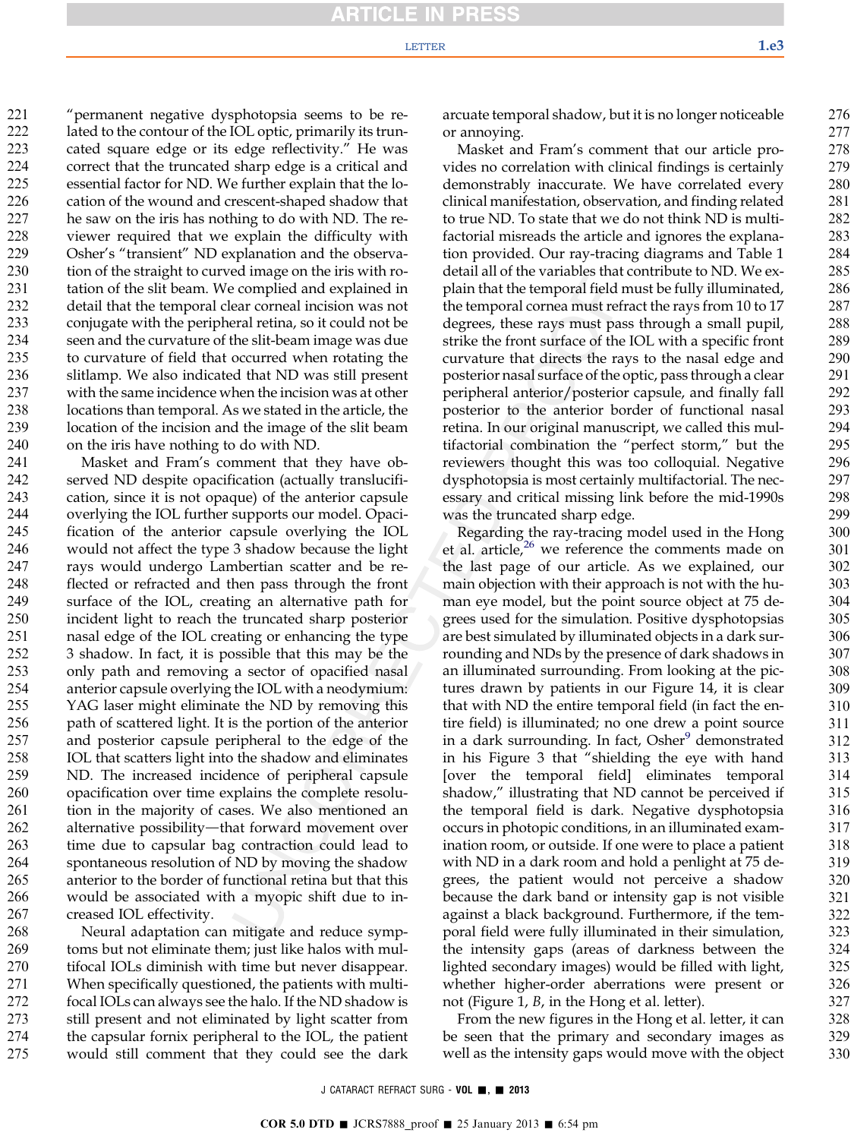#### LETTER  $\qquad \qquad 1.63$

"permanent negative dysphotopsia seems to be related to the contour of the IOL optic, primarily its truncated square edge or its edge reflectivity." He was correct that the truncated sharp edge is a critical and essential factor for ND. We further explain that the location of the wound and crescent-shaped shadow that he saw on the iris has nothing to do with ND. The reviewer required that we explain the difficulty with Osher's "transient" ND explanation and the observation of the straight to curved image on the iris with rotation of the slit beam. We complied and explained in detail that the temporal clear corneal incision was not conjugate with the peripheral retina, so it could not be seen and the curvature of the slit-beam image was due to curvature of field that occurred when rotating the slitlamp. We also indicated that ND was still present with the same incidence when the incision was at other locations than temporal. As we stated in the article, the location of the incision and the image of the slit beam on the iris have nothing to do with ND. 221 222 223 224 225 226 227 228 229 230 231 232 233 234 235 236 237 238 239 240

Masket and Fram's comment that they have observed ND despite opacification (actually translucification, since it is not opaque) of the anterior capsule overlying the IOL further supports our model. Opacification of the anterior capsule overlying the IOL would not affect the type 3 shadow because the light rays would undergo Lambertian scatter and be reflected or refracted and then pass through the front surface of the IOL, creating an alternative path for incident light to reach the truncated sharp posterior nasal edge of the IOL creating or enhancing the type 3 shadow. In fact, it is possible that this may be the only path and removing a sector of opacified nasal anterior capsule overlying the IOL with a neodymium: YAG laser might eliminate the ND by removing this path of scattered light. It is the portion of the anterior and posterior capsule peripheral to the edge of the IOL that scatters light into the shadow and eliminates ND. The increased incidence of peripheral capsule opacification over time explains the complete resolution in the majority of cases. We also mentioned an alternative possibility—that forward movement over time due to capsular bag contraction could lead to spontaneous resolution of ND by moving the shadow anterior to the border of functional retina but that this would be associated with a myopic shift due to increased IOL effectivity. 241 242 243 244 245 246 247 248 249 250 251 252 253 254 255 256 257 258 259 260 261 262 263 264 265 266 267

Neural adaptation can mitigate and reduce symptoms but not eliminate them; just like halos with multifocal IOLs diminish with time but never disappear. When specifically questioned, the patients with multifocal IOLs can always see the halo. If the ND shadow is still present and not eliminated by light scatter from the capsular fornix peripheral to the IOL, the patient would still comment that they could see the dark 268 269 270 271 272 273 274 275

arcuate temporal shadow, but it is no longer noticeable or annoying.

Masket and Fram's comment that our article provides no correlation with clinical findings is certainly demonstrably inaccurate. We have correlated every clinical manifestation, observation, and finding related to true ND. To state that we do not think ND is multifactorial misreads the article and ignores the explanation provided. Our ray-tracing diagrams and Table 1 detail all of the variables that contribute to ND. We explain that the temporal field must be fully illuminated, the temporal cornea must refract the rays from 10 to 17 degrees, these rays must pass through a small pupil, strike the front surface of the IOL with a specific front curvature that directs the rays to the nasal edge and posterior nasal surface of the optic, pass through a clear peripheral anterior/posterior capsule, and finally fall posterior to the anterior border of functional nasal retina. In our original manuscript, we called this multifactorial combination the "perfect storm," but the reviewers thought this was too colloquial. Negative dysphotopsia is most certainly multifactorial. The necessary and critical missing link before the mid-1990s was the truncated sharp edge.

Regarding the ray-tracing model used in the Hong et al. article, $26$  we reference the comments made on the last page of our article. As we explained, our main objection with their approach is not with the human eye model, but the point source object at 75 degrees used for the simulation. Positive dysphotopsias are best simulated by illuminated objects in a dark surrounding and NDs by the presence of dark shadows in an illuminated surrounding. From looking at the pictures drawn by patients in our Figure 14, it is clear that with ND the entire temporal field (in fact the entire field) is illuminated; no one drew a point source in a dark surrounding. In fact, Osher<sup>[9](#page-6-0)</sup> demonstrated in his Figure 3 that "shielding the eye with hand [over the temporal field] eliminates temporal shadow," illustrating that ND cannot be perceived if the temporal field is dark. Negative dysphotopsia occurs in photopic conditions, in an illuminated examination room, or outside. If one were to place a patient with ND in a dark room and hold a penlight at 75 degrees, the patient would not perceive a shadow because the dark band or intensity gap is not visible against a black background. Furthermore, if the temporal field were fully illuminated in their simulation, the intensity gaps (areas of darkness between the lighted secondary images) would be filled with light, whether higher-order aberrations were present or not (Figure 1, B, in the Hong et al. letter).

From the new figures in the Hong et al. letter, it can be seen that the primary and secondary images as well as the intensity gaps would move with the object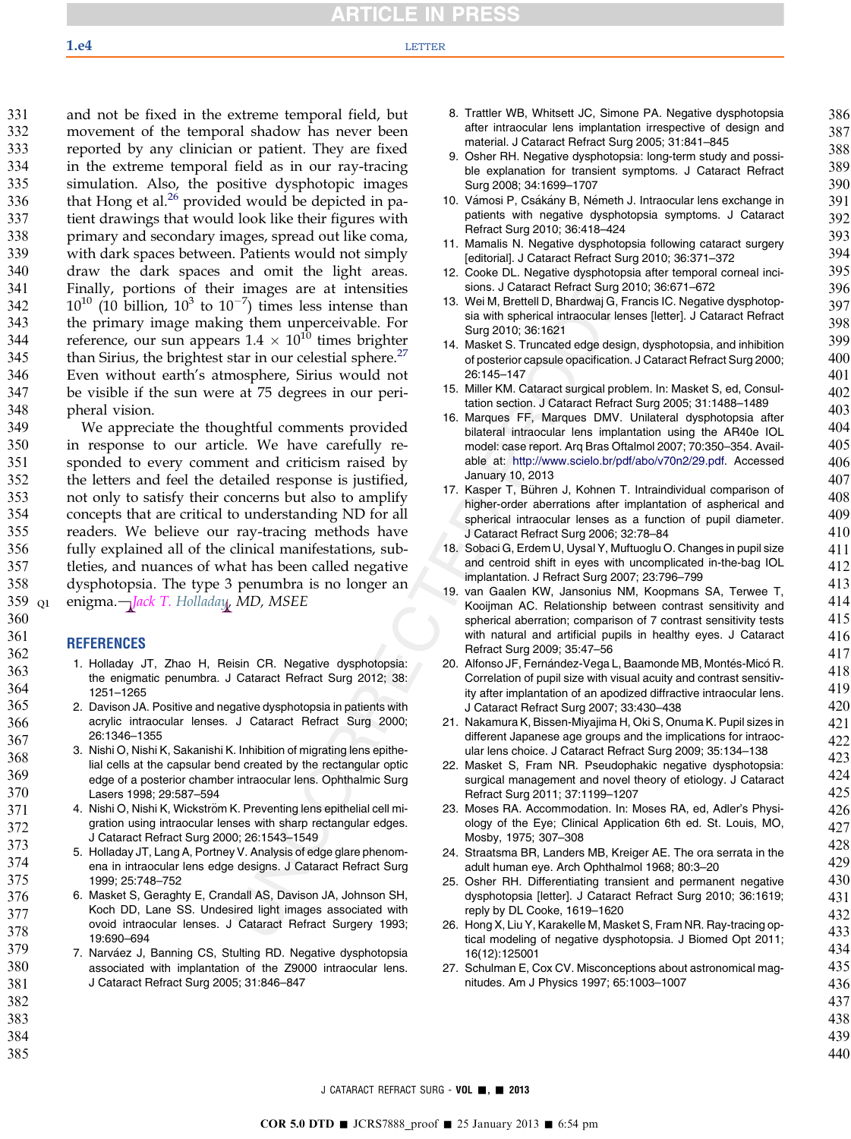<span id="page-6-0"></span>and not be fixed in the extreme temporal field, but movement of the temporal shadow has never been reported by any clinician or patient. They are fixed in the extreme temporal field as in our ray-tracing simulation. Also, the positive dysphotopic images that Hong et al. $^{26}$  provided would be depicted in patient drawings that would look like their figures with primary and secondary images, spread out like coma, with dark spaces between. Patients would not simply draw the dark spaces and omit the light areas. Finally, portions of their images are at intensities  $10^{10}$  (10 billion,  $10^3$  to  $10^{-7}$ ) times less intense than the primary image making them unperceivable. For reference, our sun appears  $1.4 \times 10^{10}$  times brighter than Sirius, the brightest star in our celestial sphere.<sup>27</sup> Even without earth's atmosphere, Sirius would not be visible if the sun were at 75 degrees in our peripheral vision. 331 332 333 334 335 336 337 338 339 340 341 342 343 344 345 346 347 348

We appreciate the thoughtful comments provided in response to our article. We have carefully responded to every comment and criticism raised by the letters and feel the detailed response is justified, not only to satisfy their concerns but also to amplify concepts that are critical to understanding ND for all readers. We believe our ray-tracing methods have fully explained all of the clinical manifestations, subtleties, and nuances of what has been called negative dysphotopsia. The type 3 penumbra is no longer an enigma.-*Jack T. Holladay, MD, MSEE* 349 350 351 352 353 354 355 356 357 358 359 Q1

### REFERENCES

- 1. Holladay JT, Zhao H, Reisin CR. Negative dysphotopsia: the enigmatic penumbra. J Cataract Refract Surg 2012; 38: 1251–1265
- 2. Davison JA. Positive and negative dysphotopsia in patients with acrylic intraocular lenses. J Cataract Refract Surg 2000; 26:1346–1355
- 3. Nishi O, Nishi K, Sakanishi K. Inhibition of migrating lens epithelial cells at the capsular bend created by the rectangular optic edge of a posterior chamber intraocular lens. Ophthalmic Surg Lasers 1998; 29:587–594
- 4. Nishi O, Nishi K, Wickström K. Preventing lens epithelial cell migration using intraocular lenses with sharp rectangular edges. J Cataract Refract Surg 2000; 26:1543–1549
- 5. Holladay JT, Lang A, Portney V. Analysis of edge glare phenomena in intraocular lens edge designs. J Cataract Refract Surg 1999; 25:748–752
- 6. Masket S, Geraghty E, Crandall AS, Davison JA, Johnson SH, Koch DD, Lane SS. Undesired light images associated with ovoid intraocular lenses. J Cataract Refract Surgery 1993; 19:690–694 376 377 378 379
	- 7. Narváez J, Banning CS, Stulting RD. Negative dysphotopsia associated with implantation of the Z9000 intraocular lens. J Cataract Refract Surg 2005; 31:846–847
- 8. Trattler WB, Whitsett JC, Simone PA. Negative dysphotopsia after intraocular lens implantation irrespective of design and material. J Cataract Refract Surg 2005; 31:841–845
- 9. Osher RH. Negative dysphotopsia: long-term study and possible explanation for transient symptoms. J Cataract Refract Surg 2008; 34:1699–1707
- 10. Vámosi P, Csákány B, Németh J. Intraocular lens exchange in patients with negative dysphotopsia symptoms. J Cataract Refract Surg 2010; 36:418–424
- 11. Mamalis N. Negative dysphotopsia following cataract surgery [editorial]. J Cataract Refract Surg 2010; 36:371–372
- 12. Cooke DL. Negative dysphotopsia after temporal corneal incisions. J Cataract Refract Surg 2010; 36:671–672
- 13. Wei M, Brettell D, Bhardwaj G, Francis IC. Negative dysphotopsia with spherical intraocular lenses [letter]. J Cataract Refract Surg 2010; 36:1621
- 14. Masket S. Truncated edge design, dysphotopsia, and inhibition of posterior capsule opacification. J Cataract Refract Surg 2000; 26:145–147
- 15. Miller KM. Cataract surgical problem. In: Masket S, ed, Consultation section. J Cataract Refract Surg 2005; 31:1488–1489
- 16. Marques FF, Marques DMV. Unilateral dysphotopsia after bilateral intraocular lens implantation using the AR40e IOL model: case report. Arq Bras Oftalmol 2007; 70:350–354. Available at: [http://www.scielo.br/pdf/abo/v70n2/29.pdf.](http://www.scielo.br/pdf/abo/v70n2/29.pdf) Accessed January 10, 2013
- 17. Kasper T, Bühren J, Kohnen T. Intraindividual comparison of higher-order aberrations after implantation of aspherical and spherical intraocular lenses as a function of pupil diameter. J Cataract Refract Surg 2006; 32:78–84
- 18. Sobaci G, Erdem U, Uysal Y, Muftuoglu O. Changes in pupil size and centroid shift in eyes with uncomplicated in-the-bag IOL implantation. J Refract Surg 2007; 23:796–799
- 19. van Gaalen KW, Jansonius NM, Koopmans SA, Terwee T, Kooijman AC. Relationship between contrast sensitivity and spherical aberration; comparison of 7 contrast sensitivity tests with natural and artificial pupils in healthy eyes. J Cataract Refract Surg 2009; 35:47–56
- 20. Alfonso JF, Fernández-Vega L, Baamonde MB, Montés-Micó R. Correlation of pupil size with visual acuity and contrast sensitivity after implantation of an apodized diffractive intraocular lens. J Cataract Refract Surg 2007; 33:430–438
- 21. Nakamura K, Bissen-Miyajima H, Oki S, Onuma K. Pupil sizes in different Japanese age groups and the implications for intraocular lens choice. J Cataract Refract Surg 2009; 35:134–138
- 22. Masket S, Fram NR. Pseudophakic negative dysphotopsia: surgical management and novel theory of etiology. J Cataract Refract Surg 2011; 37:1199–1207
- 23. Moses RA. Accommodation. In: Moses RA, ed, Adler's Physiology of the Eye; Clinical Application 6th ed. St. Louis, MO, Mosby, 1975; 307–308
- 24. Straatsma BR, Landers MB, Kreiger AE. The ora serrata in the adult human eye. Arch Ophthalmol 1968; 80:3–20
- 25. Osher RH. Differentiating transient and permanent negative dysphotopsia [letter]. J Cataract Refract Surg 2010; 36:1619; reply by DL Cooke, 1619–1620
- 26. Hong X, Liu Y, Karakelle M, Masket S, Fram NR. Ray-tracing optical modeling of negative dysphotopsia. J Biomed Opt 2011; 16(12):125001
- 27. Schulman E, Cox CV. Misconceptions about astronomical magnitudes. Am J Physics 1997; 65:1003–1007
- 436 437 438

439 440

382 383 384

380 381

385